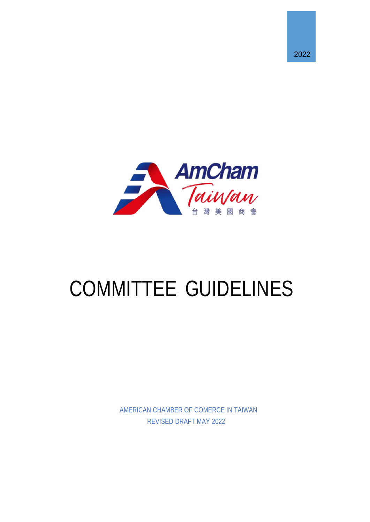



# COMMITTEE GUIDELINES

AMERICAN CHAMBER OF COMERCE IN TAIWAN REVISED DRAFT MAY 2022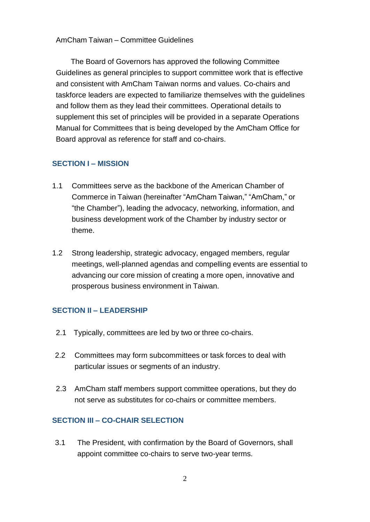The Board of Governors has approved the following Committee Guidelines as general principles to support committee work that is effective and consistent with AmCham Taiwan norms and values. Co-chairs and taskforce leaders are expected to familiarize themselves with the guidelines and follow them as they lead their committees. Operational details to supplement this set of principles will be provided in a separate Operations Manual for Committees that is being developed by the AmCham Office for Board approval as reference for staff and co-chairs.

#### **SECTION I – MISSION**

- 1.1 Committees serve as the backbone of the American Chamber of Commerce in Taiwan (hereinafter "AmCham Taiwan," "AmCham," or "the Chamber"), leading the advocacy, networking, information, and business development work of the Chamber by industry sector or theme.
- 1.2 Strong leadership, strategic advocacy, engaged members, regular meetings, well-planned agendas and compelling events are essential to advancing our core mission of creating a more open, innovative and prosperous business environment in Taiwan.

#### **SECTION II – LEADERSHIP**

- 2.1 Typically, committees are led by two or three co-chairs.
- 2.2 Committees may form subcommittees or task forces to deal with particular issues or segments of an industry.
- 2.3 AmCham staff members support committee operations, but they do not serve as substitutes for co-chairs or committee members.

## **SECTION III – CO-CHAIR SELECTION**

3.1 The President, with confirmation by the Board of Governors, shall appoint committee co-chairs to serve two-year terms.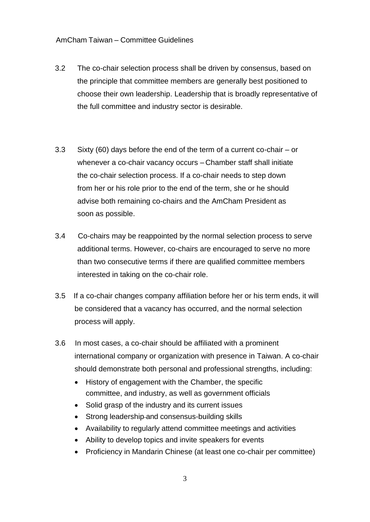- 3.2 The co-chair selection process shall be driven by consensus, based on the principle that committee members are generally best positioned to choose their own leadership. Leadership that is broadly representative of the full committee and industry sector is desirable.
- 3.3 Sixty (60) days before the end of the term of a current co-chair or whenever a co-chair vacancy occurs – Chamber staff shall initiate the co-chair selection process. If a co-chair needs to step down from her or his role prior to the end of the term, she or he should advise both remaining co-chairs and the AmCham President as soon as possible.
- 3.4 Co-chairs may be reappointed by the normal selection process to serve additional terms. However, co-chairs are encouraged to serve no more than two consecutive terms if there are qualified committee members interested in taking on the co-chair role.
- 3.5 If a co-chair changes company affiliation before her or his term ends, it will be considered that a vacancy has occurred, and the normal selection process will apply.
- 3.6 In most cases, a co-chair should be affiliated with a prominent international company or organization with presence in Taiwan. A co-chair should demonstrate both personal and professional strengths, including:
	- History of engagement with the Chamber, the specific committee, and industry, as well as government officials
	- Solid grasp of the industry and its current issues
	- Strong leadership-and consensus-building skills
	- Availability to regularly attend committee meetings and activities
	- Ability to develop topics and invite speakers for events
	- Proficiency in Mandarin Chinese (at least one co-chair per committee)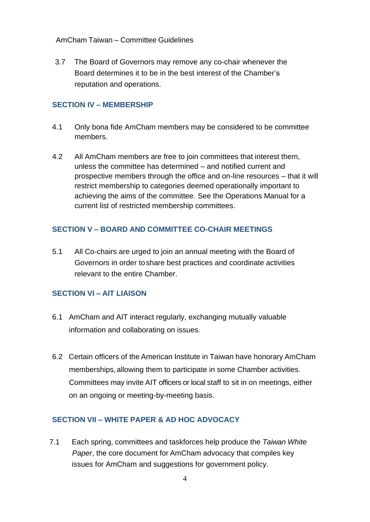3.7 The Board of Governors may remove any co-chair whenever the Board determines it to be in the best interest of the Chamber's reputation and operations.

### **SECTION IV – MEMBERSHIP**

- 4.1 Only bona fide AmCham members may be considered to be committee members.
- 4.2 All AmCham members are free to join committees that interest them, unless the committee has determined – and notified current and prospective members through the office and on-line resources – that it will restrict membership to categories deemed operationally important to achieving the aims of the committee. See the Operations Manual for a current list of restricted membership committees.

# **SECTION V – BOARD AND COMMITTEE CO-CHAIR MEETINGS**

5.1 All Co-chairs are urged to join an annual meeting with the Board of Governors in order to share best practices and coordinate activities relevant to the entire Chamber.

# **SECTION VI – AIT LIAISON**

- 6.1 AmCham and AIT interact regularly, exchanging mutually valuable information and collaborating on issues.
- 6.2 Certain officers of the American Institute in Taiwan have honorary AmCham memberships, allowing them to participate in some Chamber activities. Committees may invite AIT officers or local staff to sit in on meetings, either on an ongoing or meeting-by-meeting basis.

# **SECTION VII – WHITE PAPER & AD HOC ADVOCACY**

7.1 Each spring, committees and taskforces help produce the *Taiwan White Paper*, the core document for AmCham advocacy that compiles key issues for AmCham and suggestions for government policy.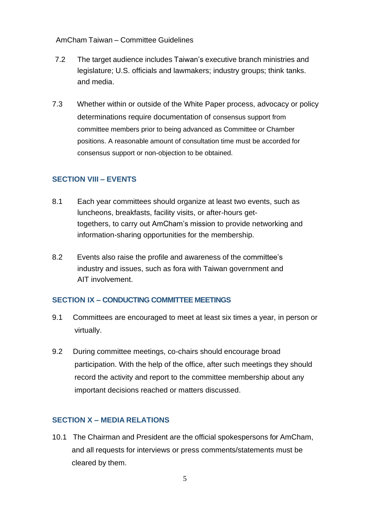- 7.2 The target audience includes Taiwan's executive branch ministries and legislature; U.S. officials and lawmakers; industry groups; think tanks. and media.
- 7.3 Whether within or outside of the White Paper process, advocacy or policy determinations require documentation of consensus support from committee members prior to being advanced as Committee or Chamber positions. A reasonable amount of consultation time must be accorded for consensus support or non-objection to be obtained.

## **SECTION VIII – EVENTS**

- 8.1 Each year committees should organize at least two events, such as luncheons, breakfasts, facility visits, or after-hours gettogethers, to carry out AmCham's mission to provide networking and information-sharing opportunities for the membership.
- 8.2 Events also raise the profile and awareness of the committee's industry and issues, such as fora with Taiwan government and AIT involvement.

#### **SECTION IX – CONDUCTING COMMITTEE MEETINGS**

- 9.1 Committees are encouraged to meet at least six times a year, in person or virtually.
- 9.2 During committee meetings, co-chairs should encourage broad participation. With the help of the office, after such meetings they should record the activity and report to the committee membership about any important decisions reached or matters discussed.

# **SECTION X – MEDIA RELATIONS**

10.1 The Chairman and President are the official spokespersons for AmCham, and all requests for interviews or press comments/statements must be cleared by them.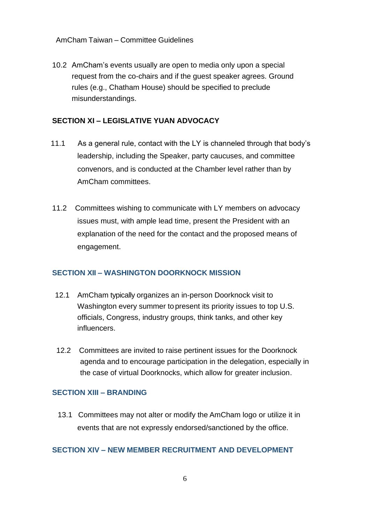10.2 AmCham's events usually are open to media only upon a special request from the co-chairs and if the guest speaker agrees. Ground rules (e.g., Chatham House) should be specified to preclude misunderstandings.

## **SECTION XI – LEGISLATIVE YUAN ADVOCACY**

- 11.1 As a general rule, contact with the LY is channeled through that body's leadership, including the Speaker, party caucuses, and committee convenors, and is conducted at the Chamber level rather than by AmCham committees.
- 11.2 Committees wishing to communicate with LY members on advocacy issues must, with ample lead time, present the President with an explanation of the need for the contact and the proposed means of engagement.

#### **SECTION XII – WASHINGTON DOORKNOCK MISSION**

- 12.1 AmCham typically organizes an in-person Doorknock visit to Washington every summer to present its priority issues to top U.S. officials, Congress, industry groups, think tanks, and other key influencers.
- 12.2 Committees are invited to raise pertinent issues for the Doorknock agenda and to encourage participation in the delegation, especially in the case of virtual Doorknocks, which allow for greater inclusion.

#### **SECTION XIII – BRANDING**

13.1 Committees may not alter or modify the AmCham logo or utilize it in events that are not expressly endorsed/sanctioned by the office.

#### **SECTION XIV – NEW MEMBER RECRUITMENT AND DEVELOPMENT**